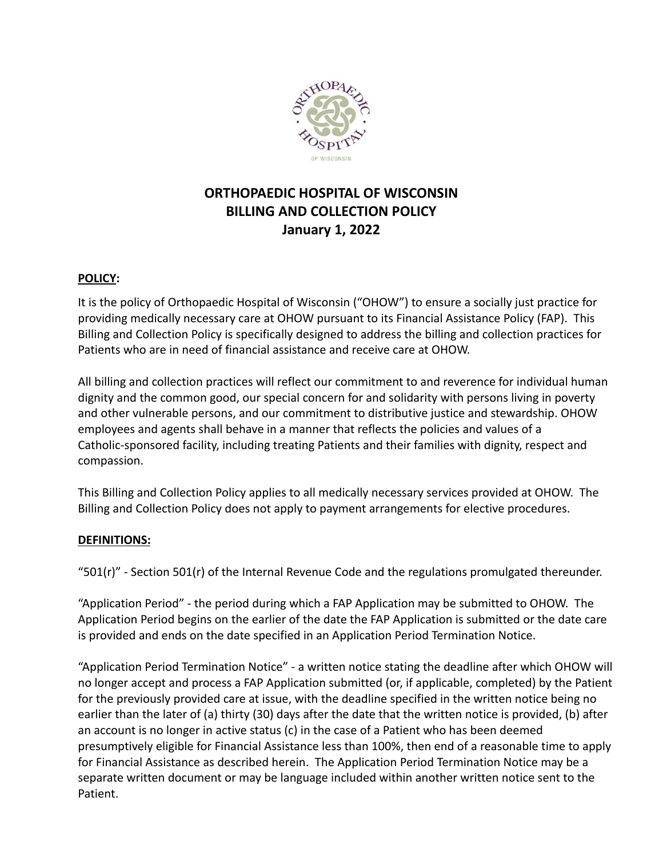

# **ORTHOPAEDIC HOSPITAL OF WISCONSIN BILLING AND COLLECTION POLICY January 1, 2022**

## **POLICY:**

It is the policy of Orthopaedic Hospital of Wisconsin ("OHOW") to ensure a socially just practice for providing medically necessary care at OHOW pursuant to its Financial Assistance Policy (FAP). This Billing and Collection Policy is specifically designed to address the billing and collection practices for Patients who are in need of financial assistance and receive care at OHOW.

All billing and collection practices will reflect our commitment to and reverence for individual human dignity and the common good, our special concern for and solidarity with persons living in poverty and other vulnerable persons, and our commitment to distributive justice and stewardship. OHOW employees and agents shall behave in a manner that reflects the policies and values of a Catholic-sponsored facility, including treating Patients and their families with dignity, respect and compassion.

This Billing and Collection Policy applies to all medically necessary services provided at OHOW. The Billing and Collection Policy does not apply to payment arrangements for elective procedures.

#### **DEFINITIONS:**

" $501(r)$ " - Section 501(r) of the Internal Revenue Code and the regulations promulgated thereunder.

"Application Period" - the period during which a FAP Application may be submitted to OHOW. The Application Period begins on the earlier of the date the FAP Application is submitted or the date care is provided and ends on the date specified in an Application Period Termination Notice.

"Application Period Termination Notice" - a written notice stating the deadline after which OHOW will no longer accept and process a FAP Application submitted (or, if applicable, completed) by the Patient for the previously provided care at issue, with the deadline specified in the written notice being no earlier than the later of (a) thirty (30) days after the date that the written notice is provided, (b) after an account is no longer in active status (c) in the case of a Patient who has been deemed presumptively eligible for Financial Assistance less than 100%, then end of a reasonable time to apply for Financial Assistance as described herein. The Application Period Termination Notice may be a separate written document or may be language included within another written notice sent to the Patient.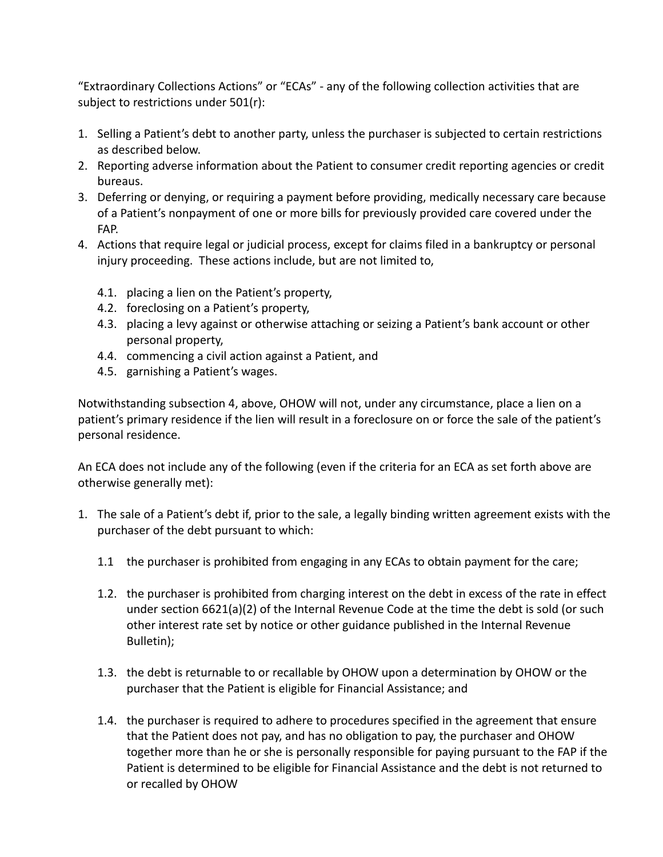"Extraordinary Collections Actions" or "ECAs" - any of the following collection activities that are subject to restrictions under 501(r):

- 1. Selling a Patient's debt to another party, unless the purchaser is subjected to certain restrictions as described below.
- 2. Reporting adverse information about the Patient to consumer credit reporting agencies or credit bureaus.
- 3. Deferring or denying, or requiring a payment before providing, medically necessary care because of a Patient's nonpayment of one or more bills for previously provided care covered under the FAP.
- 4. Actions that require legal or judicial process, except for claims filed in a bankruptcy or personal injury proceeding. These actions include, but are not limited to,
	- 4.1. placing a lien on the Patient's property,
	- 4.2. foreclosing on a Patient's property,
	- 4.3. placing a levy against or otherwise attaching or seizing a Patient's bank account or other personal property,
	- 4.4. commencing a civil action against a Patient, and
	- 4.5. garnishing a Patient's wages.

Notwithstanding subsection 4, above, OHOW will not, under any circumstance, place a lien on a patient's primary residence if the lien will result in a foreclosure on or force the sale of the patient's personal residence.

An ECA does not include any of the following (even if the criteria for an ECA as set forth above are otherwise generally met):

- 1. The sale of a Patient's debt if, prior to the sale, a legally binding written agreement exists with the purchaser of the debt pursuant to which:
	- 1.1 the purchaser is prohibited from engaging in any ECAs to obtain payment for the care;
	- 1.2. the purchaser is prohibited from charging interest on the debt in excess of the rate in effect under section 6621(a)(2) of the Internal Revenue Code at the time the debt is sold (or such other interest rate set by notice or other guidance published in the Internal Revenue Bulletin);
	- 1.3. the debt is returnable to or recallable by OHOW upon a determination by OHOW or the purchaser that the Patient is eligible for Financial Assistance; and
	- 1.4. the purchaser is required to adhere to procedures specified in the agreement that ensure that the Patient does not pay, and has no obligation to pay, the purchaser and OHOW together more than he or she is personally responsible for paying pursuant to the FAP if the Patient is determined to be eligible for Financial Assistance and the debt is not returned to or recalled by OHOW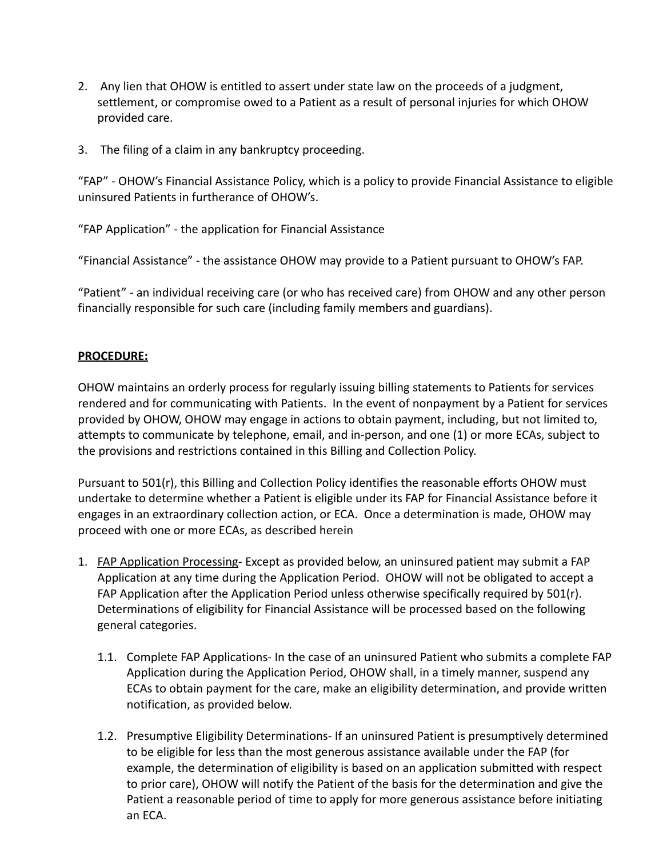- 2. Any lien that OHOW is entitled to assert under state law on the proceeds of a judgment, settlement, or compromise owed to a Patient as a result of personal injuries for which OHOW provided care.
- 3. The filing of a claim in any bankruptcy proceeding.

"FAP" - OHOW's Financial Assistance Policy, which is a policy to provide Financial Assistance to eligible uninsured Patients in furtherance of OHOW's.

"FAP Application" - the application for Financial Assistance

"Financial Assistance" - the assistance OHOW may provide to a Patient pursuant to OHOW's FAP.

"Patient" - an individual receiving care (or who has received care) from OHOW and any other person financially responsible for such care (including family members and guardians).

### **PROCEDURE:**

OHOW maintains an orderly process for regularly issuing billing statements to Patients for services rendered and for communicating with Patients. In the event of nonpayment by a Patient for services provided by OHOW, OHOW may engage in actions to obtain payment, including, but not limited to, attempts to communicate by telephone, email, and in-person, and one (1) or more ECAs, subject to the provisions and restrictions contained in this Billing and Collection Policy.

Pursuant to 501(r), this Billing and Collection Policy identifies the reasonable efforts OHOW must undertake to determine whether a Patient is eligible under its FAP for Financial Assistance before it engages in an extraordinary collection action, or ECA. Once a determination is made, OHOW may proceed with one or more ECAs, as described herein

- 1. FAP Application Processing- Except as provided below, an uninsured patient may submit a FAP Application at any time during the Application Period. OHOW will not be obligated to accept a FAP Application after the Application Period unless otherwise specifically required by 501(r). Determinations of eligibility for Financial Assistance will be processed based on the following general categories.
	- 1.1. Complete FAP Applications- In the case of an uninsured Patient who submits a complete FAP Application during the Application Period, OHOW shall, in a timely manner, suspend any ECAs to obtain payment for the care, make an eligibility determination, and provide written notification, as provided below.
	- 1.2. Presumptive Eligibility Determinations- If an uninsured Patient is presumptively determined to be eligible for less than the most generous assistance available under the FAP (for example, the determination of eligibility is based on an application submitted with respect to prior care), OHOW will notify the Patient of the basis for the determination and give the Patient a reasonable period of time to apply for more generous assistance before initiating an ECA.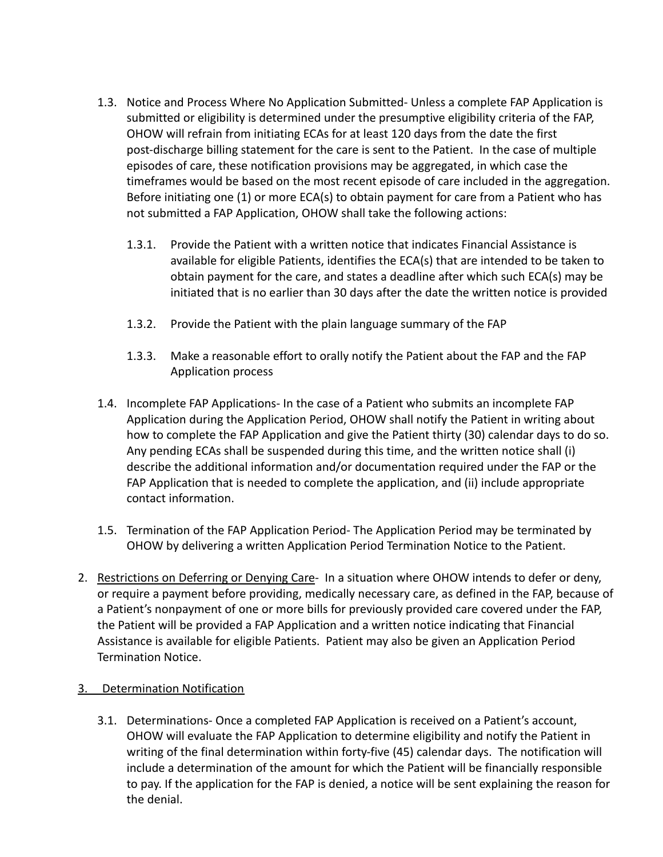- 1.3. Notice and Process Where No Application Submitted- Unless a complete FAP Application is submitted or eligibility is determined under the presumptive eligibility criteria of the FAP, OHOW will refrain from initiating ECAs for at least 120 days from the date the first post-discharge billing statement for the care is sent to the Patient. In the case of multiple episodes of care, these notification provisions may be aggregated, in which case the timeframes would be based on the most recent episode of care included in the aggregation. Before initiating one (1) or more ECA(s) to obtain payment for care from a Patient who has not submitted a FAP Application, OHOW shall take the following actions:
	- 1.3.1. Provide the Patient with a written notice that indicates Financial Assistance is available for eligible Patients, identifies the ECA(s) that are intended to be taken to obtain payment for the care, and states a deadline after which such ECA(s) may be initiated that is no earlier than 30 days after the date the written notice is provided
	- 1.3.2. Provide the Patient with the plain language summary of the FAP
	- 1.3.3. Make a reasonable effort to orally notify the Patient about the FAP and the FAP Application process
- 1.4. Incomplete FAP Applications- In the case of a Patient who submits an incomplete FAP Application during the Application Period, OHOW shall notify the Patient in writing about how to complete the FAP Application and give the Patient thirty (30) calendar days to do so. Any pending ECAs shall be suspended during this time, and the written notice shall (i) describe the additional information and/or documentation required under the FAP or the FAP Application that is needed to complete the application, and (ii) include appropriate contact information.
- 1.5. Termination of the FAP Application Period- The Application Period may be terminated by OHOW by delivering a written Application Period Termination Notice to the Patient.
- 2. Restrictions on Deferring or Denying Care- In a situation where OHOW intends to defer or deny, or require a payment before providing, medically necessary care, as defined in the FAP, because of a Patient's nonpayment of one or more bills for previously provided care covered under the FAP, the Patient will be provided a FAP Application and a written notice indicating that Financial Assistance is available for eligible Patients. Patient may also be given an Application Period Termination Notice.

## 3. Determination Notification

3.1. Determinations- Once a completed FAP Application is received on a Patient's account, OHOW will evaluate the FAP Application to determine eligibility and notify the Patient in writing of the final determination within forty-five (45) calendar days. The notification will include a determination of the amount for which the Patient will be financially responsible to pay. If the application for the FAP is denied, a notice will be sent explaining the reason for the denial.